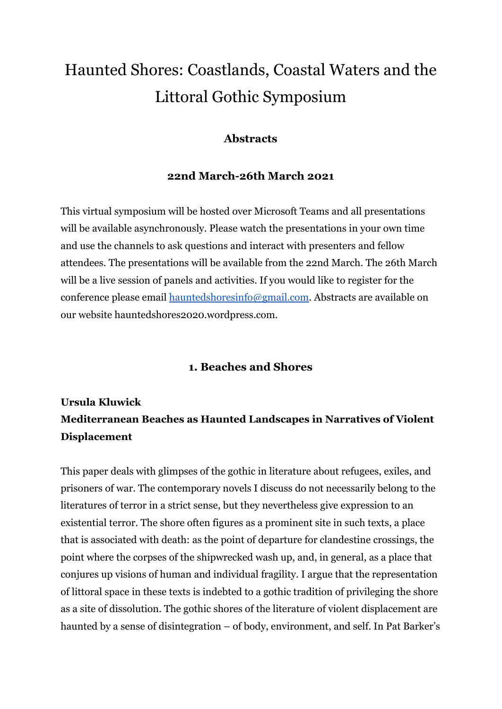# Haunted Shores: Coastlands, Coastal Waters and the Littoral Gothic Symposium

### **Abstracts**

#### **22nd March-26th March 2021**

This virtual symposium will be hosted over Microsoft Teams and all presentations will be available asynchronously. Please watch the presentations in your own time and use the channels to ask questions and interact with presenters and fellow attendees. The presentations will be available from the 22nd March. The 26th March will be a live session of panels and activities. If you would like to register for the conference please email [hauntedshoresinfo@gmail.com.](mailto:hauntedshoresinfo@gmail.com) Abstracts are available on our website hauntedshores2020.wordpress.com.

#### **1. Beaches and Shores**

# **Ursula Kluwick Mediterranean Beaches as Haunted Landscapes in Narratives of Violent Displacement**

This paper deals with glimpses of the gothic in literature about refugees, exiles, and prisoners of war. The contemporary novels I discuss do not necessarily belong to the literatures of terror in a strict sense, but they nevertheless give expression to an existential terror. The shore often figures as a prominent site in such texts, a place that is associated with death: as the point of departure for clandestine crossings, the point where the corpses of the shipwrecked wash up, and, in general, as a place that conjures up visions of human and individual fragility. I argue that the representation of littoral space in these texts is indebted to a gothic tradition of privileging the shore as a site of dissolution. The gothic shores of the literature of violent displacement are haunted by a sense of disintegration – of body, environment, and self. In Pat Barker's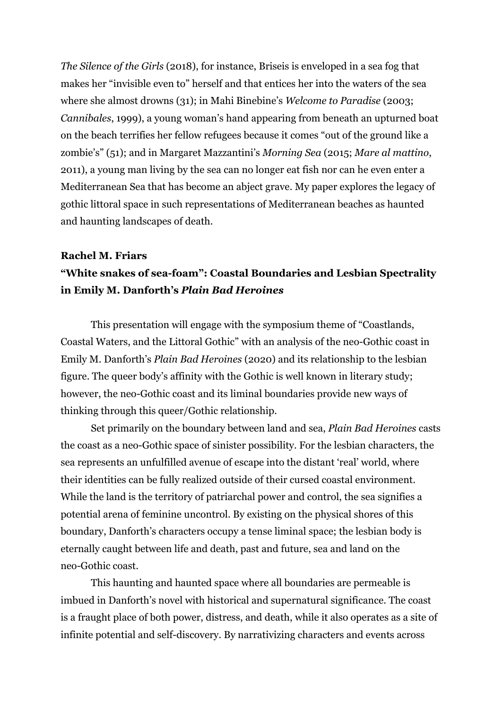*The Silence of the Girls* (2018), for instance, Briseis is enveloped in a sea fog that makes her "invisible even to" herself and that entices her into the waters of the sea where she almost drowns (31); in Mahi Binebine's *Welcome to Paradise* (2003; *Cannibales*, 1999), a young woman's hand appearing from beneath an upturned boat on the beach terrifies her fellow refugees because it comes "out of the ground like a zombie's" (51); and in Margaret Mazzantini's *Morning Sea* (2015; *Mare al mattino*, 2011), a young man living by the sea can no longer eat fish nor can he even enter a Mediterranean Sea that has become an abject grave. My paper explores the legacy of gothic littoral space in such representations of Mediterranean beaches as haunted and haunting landscapes of death.

#### **Rachel M. Friars**

### **"White snakes of sea-foam": Coastal Boundaries and Lesbian Spectrality in Emily M. Danforth's** *Plain Bad Heroines*

This presentation will engage with the symposium theme of "Coastlands, Coastal Waters, and the Littoral Gothic" with an analysis of the neo-Gothic coast in Emily M. Danforth's *Plain Bad Heroines* (2020) and its relationship to the lesbian figure. The queer body's affinity with the Gothic is well known in literary study; however, the neo-Gothic coast and its liminal boundaries provide new ways of thinking through this queer/Gothic relationship.

Set primarily on the boundary between land and sea, *Plain Bad Heroines* casts the coast as a neo-Gothic space of sinister possibility. For the lesbian characters, the sea represents an unfulfilled avenue of escape into the distant 'real' world, where their identities can be fully realized outside of their cursed coastal environment. While the land is the territory of patriarchal power and control, the sea signifies a potential arena of feminine uncontrol. By existing on the physical shores of this boundary, Danforth's characters occupy a tense liminal space; the lesbian body is eternally caught between life and death, past and future, sea and land on the neo-Gothic coast.

This haunting and haunted space where all boundaries are permeable is imbued in Danforth's novel with historical and supernatural significance. The coast is a fraught place of both power, distress, and death, while it also operates as a site of infinite potential and self-discovery. By narrativizing characters and events across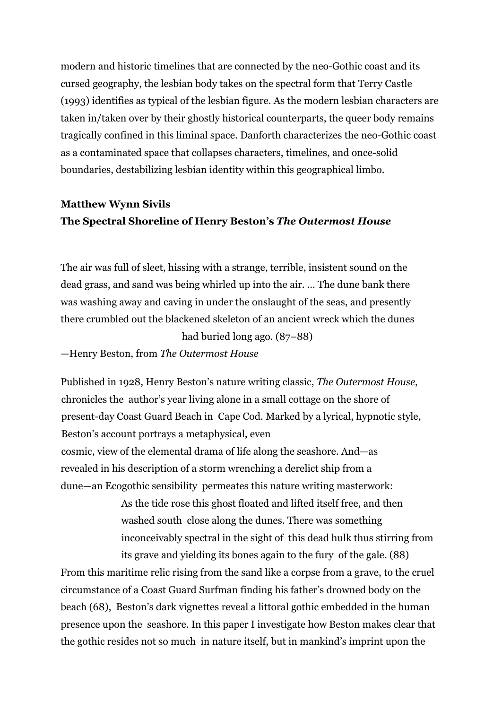modern and historic timelines that are connected by the neo-Gothic coast and its cursed geography, the lesbian body takes on the spectral form that Terry Castle (1993) identifies as typical of the lesbian figure. As the modern lesbian characters are taken in/taken over by their ghostly historical counterparts, the queer body remains tragically confined in this liminal space. Danforth characterizes the neo-Gothic coast as a contaminated space that collapses characters, timelines, and once-solid boundaries, destabilizing lesbian identity within this geographical limbo.

### **Matthew Wynn Sivils The Spectral Shoreline of Henry Beston's** *The Outermost House*

The air was full of sleet, hissing with a strange, terrible, insistent sound on the dead grass, and sand was being whirled up into the air. … The dune bank there was washing away and caving in under the onslaught of the seas, and presently there crumbled out the blackened skeleton of an ancient wreck which the dunes had buried long ago. (87–88)

—Henry Beston, from *The Outermost House*

Published in 1928, Henry Beston's nature writing classic, *The Outermost House*, chronicles the author's year living alone in a small cottage on the shore of present-day Coast Guard Beach in Cape Cod. Marked by a lyrical, hypnotic style, Beston's account portrays a metaphysical, even cosmic, view of the elemental drama of life along the seashore. And—as

revealed in his description of a storm wrenching a derelict ship from a dune—an Ecogothic sensibility permeates this nature writing masterwork:

> As the tide rose this ghost floated and lifted itself free, and then washed south close along the dunes. There was something inconceivably spectral in the sight of this dead hulk thus stirring from its grave and yielding its bones again to the fury of the gale. (88)

From this maritime relic rising from the sand like a corpse from a grave, to the cruel circumstance of a Coast Guard Surfman finding his father's drowned body on the beach (68), Beston's dark vignettes reveal a littoral gothic embedded in the human presence upon the seashore. In this paper I investigate how Beston makes clear that the gothic resides not so much in nature itself, but in mankind's imprint upon the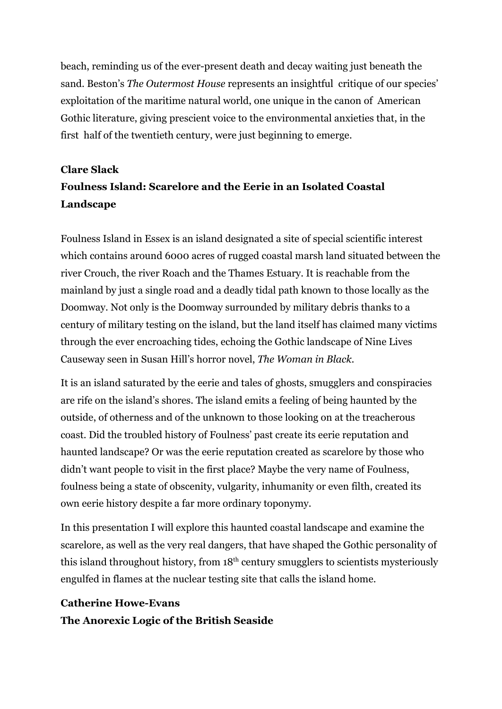beach, reminding us of the ever-present death and decay waiting just beneath the sand. Beston's *The Outermost House* represents an insightful critique of our species' exploitation of the maritime natural world, one unique in the canon of American Gothic literature, giving prescient voice to the environmental anxieties that, in the first half of the twentieth century, were just beginning to emerge.

# **Clare Slack Foulness Island: Scarelore and the Eerie in an Isolated Coastal Landscape**

Foulness Island in Essex is an island designated a site of special scientific interest which contains around 6000 acres of rugged coastal marsh land situated between the river Crouch, the river Roach and the Thames Estuary. It is reachable from the mainland by just a single road and a deadly tidal path known to those locally as the Doomway. Not only is the Doomway surrounded by military debris thanks to a century of military testing on the island, but the land itself has claimed many victims through the ever encroaching tides, echoing the Gothic landscape of Nine Lives Causeway seen in Susan Hill's horror novel, *The Woman in Black.*

It is an island saturated by the eerie and tales of ghosts, smugglers and conspiracies are rife on the island's shores. The island emits a feeling of being haunted by the outside, of otherness and of the unknown to those looking on at the treacherous coast. Did the troubled history of Foulness' past create its eerie reputation and haunted landscape? Or was the eerie reputation created as scarelore by those who didn't want people to visit in the first place? Maybe the very name of Foulness, foulness being a state of obscenity, vulgarity, inhumanity or even filth, created its own eerie history despite a far more ordinary toponymy.

In this presentation I will explore this haunted coastal landscape and examine the scarelore, as well as the very real dangers, that have shaped the Gothic personality of this island throughout history, from  $18<sup>th</sup>$  century smugglers to scientists mysteriously engulfed in flames at the nuclear testing site that calls the island home.

### **Catherine Howe-Evans The Anorexic Logic of the British Seaside**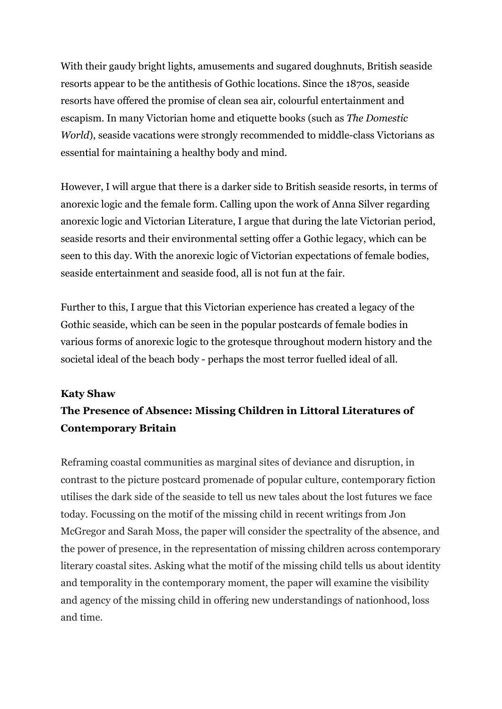With their gaudy bright lights, amusements and sugared doughnuts, British seaside resorts appear to be the antithesis of Gothic locations. Since the 1870s, seaside resorts have offered the promise of clean sea air, colourful entertainment and escapism. In many Victorian home and etiquette books (such as *The Domestic World*), seaside vacations were strongly recommended to middle-class Victorians as essential for maintaining a healthy body and mind.

However, I will argue that there is a darker side to British seaside resorts, in terms of anorexic logic and the female form. Calling upon the work of Anna Silver regarding anorexic logic and Victorian Literature, I argue that during the late Victorian period, seaside resorts and their environmental setting offer a Gothic legacy, which can be seen to this day. With the anorexic logic of Victorian expectations of female bodies, seaside entertainment and seaside food, all is not fun at the fair.

Further to this, I argue that this Victorian experience has created a legacy of the Gothic seaside, which can be seen in the popular postcards of female bodies in various forms of anorexic logic to the grotesque throughout modern history and the societal ideal of the beach body - perhaps the most terror fuelled ideal of all.

#### **Katy Shaw**

# **The Presence of Absence: Missing Children in Littoral Literatures of Contemporary Britain**

Reframing coastal communities as marginal sites of deviance and disruption, in contrast to the picture postcard promenade of popular culture, contemporary fiction utilises the dark side of the seaside to tell us new tales about the lost futures we face today. Focussing on the motif of the missing child in recent writings from Jon McGregor and Sarah Moss, the paper will consider the spectrality of the absence, and the power of presence, in the representation of missing children across contemporary literary coastal sites. Asking what the motif of the missing child tells us about identity and temporality in the contemporary moment, the paper will examine the visibility and agency of the missing child in offering new understandings of nationhood, loss and time.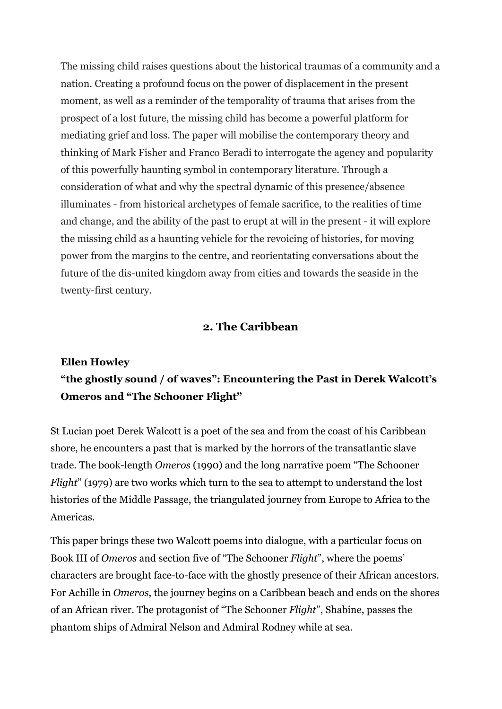The missing child raises questions about the historical traumas of a community and a nation. Creating a profound focus on the power of displacement in the present moment, as well as a reminder of the temporality of trauma that arises from the prospect of a lost future, the missing child has become a powerful platform for mediating grief and loss. The paper will mobilise the contemporary theory and thinking of Mark Fisher and Franco Beradi to interrogate the agency and popularity of this powerfully haunting symbol in contemporary literature. Through a consideration of what and why the spectral dynamic of this presence/absence illuminates - from historical archetypes of female sacrifice, to the realities of time and change, and the ability of the past to erupt at will in the present - it will explore the missing child as a haunting vehicle for the revoicing of histories, for moving power from the margins to the centre, and reorientating conversations about the future of the dis-united kingdom away from cities and towards the seaside in the twenty-first century.

#### **2. The Caribbean**

# **Ellen Howley "the ghostly sound / of waves": Encountering the Past in Derek Walcott's Omeros and "The Schooner Flight"**

St Lucian poet Derek Walcott is a poet of the sea and from the coast of his Caribbean shore, he encounters a past that is marked by the horrors of the transatlantic slave trade. The book-length *Omeros* (1990) and the long narrative poem "The Schooner *Flight*" (1979) are two works which turn to the sea to attempt to understand the lost histories of the Middle Passage, the triangulated journey from Europe to Africa to the Americas.

This paper brings these two Walcott poems into dialogue, with a particular focus on Book III of *Omeros* and section five of "The Schooner *Flight*", where the poems' characters are brought face-to-face with the ghostly presence of their African ancestors. For Achille in *Omeros*, the journey begins on a Caribbean beach and ends on the shores of an African river. The protagonist of "The Schooner *Flight*", Shabine, passes the phantom ships of Admiral Nelson and Admiral Rodney while at sea.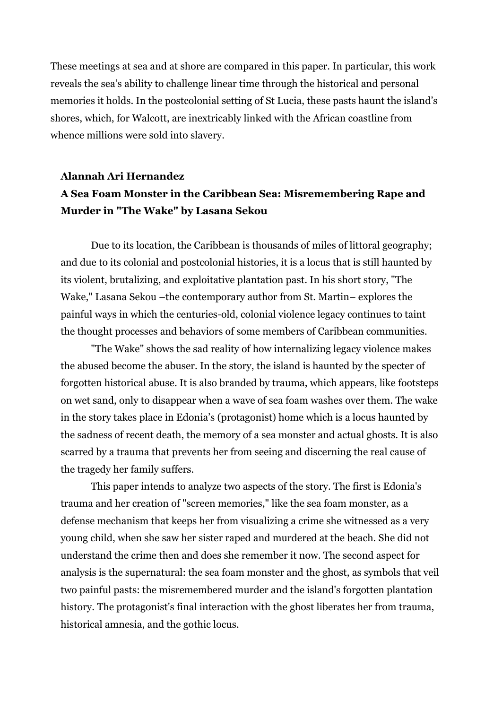These meetings at sea and at shore are compared in this paper. In particular, this work reveals the sea's ability to challenge linear time through the historical and personal memories it holds. In the postcolonial setting of St Lucia, these pasts haunt the island's shores, which, for Walcott, are inextricably linked with the African coastline from whence millions were sold into slavery.

# **Alannah Ari Hernandez A Sea Foam Monster in the Caribbean Sea: Misremembering Rape and Murder in "The Wake" by Lasana Sekou**

Due to its location, the Caribbean is thousands of miles of littoral geography; and due to its colonial and postcolonial histories, it is a locus that is still haunted by its violent, brutalizing, and exploitative plantation past. In his short story, "The Wake," Lasana Sekou –the contemporary author from St. Martin– explores the painful ways in which the centuries-old, colonial violence legacy continues to taint the thought processes and behaviors of some members of Caribbean communities.

"The Wake" shows the sad reality of how internalizing legacy violence makes the abused become the abuser. In the story, the island is haunted by the specter of forgotten historical abuse. It is also branded by trauma, which appears, like footsteps on wet sand, only to disappear when a wave of sea foam washes over them. The wake in the story takes place in Edonia's (protagonist) home which is a locus haunted by the sadness of recent death, the memory of a sea monster and actual ghosts. It is also scarred by a trauma that prevents her from seeing and discerning the real cause of the tragedy her family suffers.

This paper intends to analyze two aspects of the story. The first is Edonia's trauma and her creation of "screen memories," like the sea foam monster, as a defense mechanism that keeps her from visualizing a crime she witnessed as a very young child, when she saw her sister raped and murdered at the beach. She did not understand the crime then and does she remember it now. The second aspect for analysis is the supernatural: the sea foam monster and the ghost, as symbols that veil two painful pasts: the misremembered murder and the island's forgotten plantation history. The protagonist's final interaction with the ghost liberates her from trauma, historical amnesia, and the gothic locus.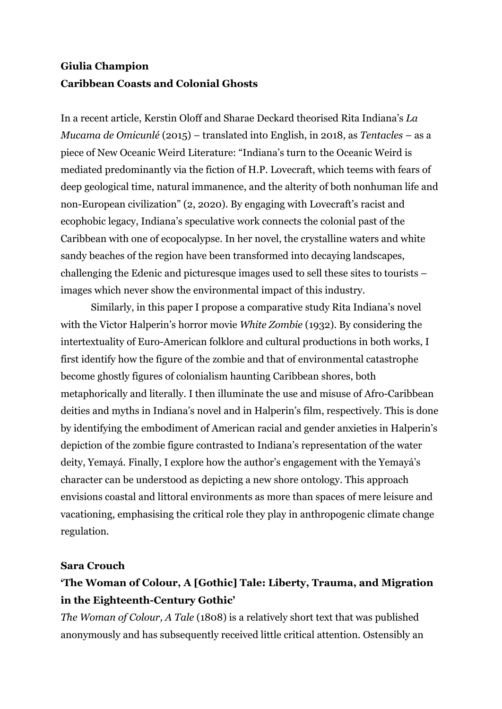### **Giulia Champion Caribbean Coasts and Colonial Ghosts**

In a recent article, Kerstin Oloff and Sharae Deckard theorised Rita Indiana's *La Mucama de Omicunlé* (2015) – translated into English, in 2018, as *Tentacles* – as a piece of New Oceanic Weird Literature: "Indiana's turn to the Oceanic Weird is mediated predominantly via the fiction of H.P. Lovecraft, which teems with fears of deep geological time, natural immanence, and the alterity of both nonhuman life and non-European civilization" (2, 2020). By engaging with Lovecraft's racist and ecophobic legacy, Indiana's speculative work connects the colonial past of the Caribbean with one of ecopocalypse. In her novel, the crystalline waters and white sandy beaches of the region have been transformed into decaying landscapes, challenging the Edenic and picturesque images used to sell these sites to tourists – images which never show the environmental impact of this industry.

Similarly, in this paper I propose a comparative study Rita Indiana's novel with the Victor Halperin's horror movie *White Zombie* (1932). By considering the intertextuality of Euro-American folklore and cultural productions in both works, I first identify how the figure of the zombie and that of environmental catastrophe become ghostly figures of colonialism haunting Caribbean shores, both metaphorically and literally. I then illuminate the use and misuse of Afro-Caribbean deities and myths in Indiana's novel and in Halperin's film, respectively. This is done by identifying the embodiment of American racial and gender anxieties in Halperin's depiction of the zombie figure contrasted to Indiana's representation of the water deity, Yemayá. Finally, I explore how the author's engagement with the Yemayá's character can be understood as depicting a new shore ontology. This approach envisions coastal and littoral environments as more than spaces of mere leisure and vacationing, emphasising the critical role they play in anthropogenic climate change regulation.

#### **Sara Crouch**

### **'The Woman of Colour, A [Gothic] Tale: Liberty, Trauma, and Migration in the Eighteenth-Century Gothic'**

*The Woman of Colour, A Tale* (1808) is a relatively short text that was published anonymously and has subsequently received little critical attention. Ostensibly an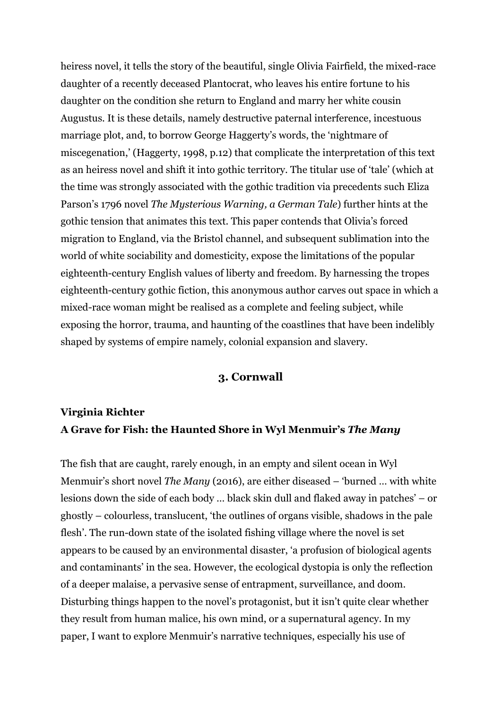heiress novel, it tells the story of the beautiful, single Olivia Fairfield, the mixed-race daughter of a recently deceased Plantocrat, who leaves his entire fortune to his daughter on the condition she return to England and marry her white cousin Augustus. It is these details, namely destructive paternal interference, incestuous marriage plot, and, to borrow George Haggerty's words, the 'nightmare of miscegenation,' (Haggerty, 1998, p.12) that complicate the interpretation of this text as an heiress novel and shift it into gothic territory. The titular use of 'tale' (which at the time was strongly associated with the gothic tradition via precedents such Eliza Parson's 1796 novel *The Mysterious Warning, a German Tale*) further hints at the gothic tension that animates this text. This paper contends that Olivia's forced migration to England, via the Bristol channel, and subsequent sublimation into the world of white sociability and domesticity, expose the limitations of the popular eighteenth-century English values of liberty and freedom. By harnessing the tropes eighteenth-century gothic fiction, this anonymous author carves out space in which a mixed-race woman might be realised as a complete and feeling subject, while exposing the horror, trauma, and haunting of the coastlines that have been indelibly shaped by systems of empire namely, colonial expansion and slavery.

#### **3. Cornwall**

### **Virginia Richter A Grave for Fish: the Haunted Shore in Wyl Menmuir's** *The Many*

The fish that are caught, rarely enough, in an empty and silent ocean in Wyl Menmuir's short novel *The Many* (2016), are either diseased – 'burned … with white lesions down the side of each body … black skin dull and flaked away in patches' – or ghostly – colourless, translucent, 'the outlines of organs visible, shadows in the pale flesh'. The run-down state of the isolated fishing village where the novel is set appears to be caused by an environmental disaster, 'a profusion of biological agents and contaminants' in the sea. However, the ecological dystopia is only the reflection of a deeper malaise, a pervasive sense of entrapment, surveillance, and doom. Disturbing things happen to the novel's protagonist, but it isn't quite clear whether they result from human malice, his own mind, or a supernatural agency. In my paper, I want to explore Menmuir's narrative techniques, especially his use of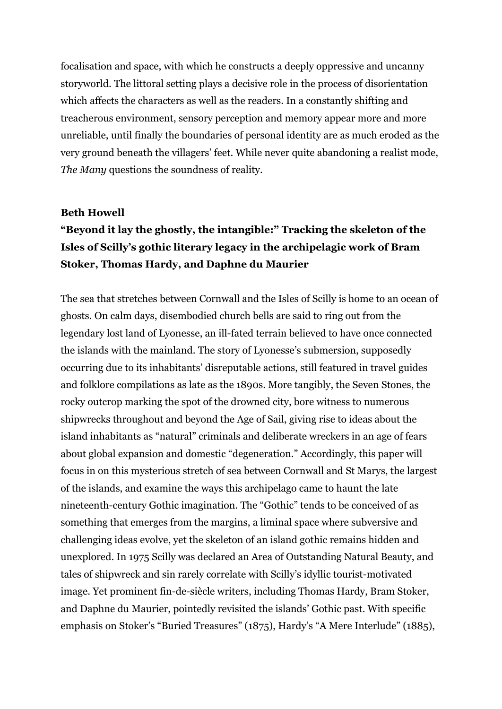focalisation and space, with which he constructs a deeply oppressive and uncanny storyworld. The littoral setting plays a decisive role in the process of disorientation which affects the characters as well as the readers. In a constantly shifting and treacherous environment, sensory perception and memory appear more and more unreliable, until finally the boundaries of personal identity are as much eroded as the very ground beneath the villagers' feet. While never quite abandoning a realist mode, *The Many* questions the soundness of reality.

#### **Beth Howell**

### **"Beyond it lay the ghostly, the intangible:" Tracking the skeleton of the Isles of Scilly's gothic literary legacy in the archipelagic work of Bram Stoker, Thomas Hardy, and Daphne du Maurier**

The sea that stretches between Cornwall and the Isles of Scilly is home to an ocean of ghosts. On calm days, disembodied church bells are said to ring out from the legendary lost land of Lyonesse, an ill-fated terrain believed to have once connected the islands with the mainland. The story of Lyonesse's submersion, supposedly occurring due to its inhabitants' disreputable actions, still featured in travel guides and folklore compilations as late as the 1890s. More tangibly, the Seven Stones, the rocky outcrop marking the spot of the drowned city, bore witness to numerous shipwrecks throughout and beyond the Age of Sail, giving rise to ideas about the island inhabitants as "natural" criminals and deliberate wreckers in an age of fears about global expansion and domestic "degeneration." Accordingly, this paper will focus in on this mysterious stretch of sea between Cornwall and St Marys, the largest of the islands, and examine the ways this archipelago came to haunt the late nineteenth-century Gothic imagination. The "Gothic" tends to be conceived of as something that emerges from the margins, a liminal space where subversive and challenging ideas evolve, yet the skeleton of an island gothic remains hidden and unexplored. In 1975 Scilly was declared an Area of Outstanding Natural Beauty, and tales of shipwreck and sin rarely correlate with Scilly's idyllic tourist-motivated image. Yet prominent fin-de-siècle writers, including Thomas Hardy, Bram Stoker, and Daphne du Maurier, pointedly revisited the islands' Gothic past. With specific emphasis on Stoker's "Buried Treasures" (1875), Hardy's "A Mere Interlude" (1885),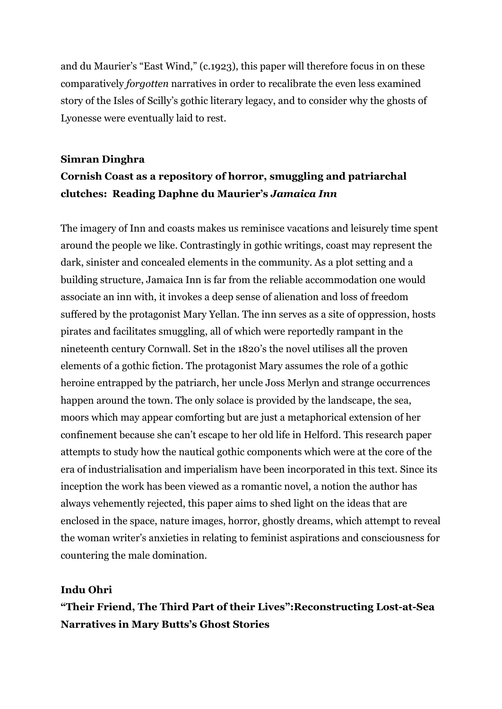and du Maurier's "East Wind," (c.1923), this paper will therefore focus in on these comparatively *forgotten* narratives in order to recalibrate the even less examined story of the Isles of Scilly's gothic literary legacy, and to consider why the ghosts of Lyonesse were eventually laid to rest.

### **Simran Dinghra Cornish Coast as a repository of horror, smuggling and patriarchal clutches: Reading Daphne du Maurier's** *Jamaica Inn*

The imagery of Inn and coasts makes us reminisce vacations and leisurely time spent around the people we like. Contrastingly in gothic writings, coast may represent the dark, sinister and concealed elements in the community. As a plot setting and a building structure, Jamaica Inn is far from the reliable accommodation one would associate an inn with, it invokes a deep sense of alienation and loss of freedom suffered by the protagonist Mary Yellan. The inn serves as a site of oppression, hosts pirates and facilitates smuggling, all of which were reportedly rampant in the nineteenth century Cornwall. Set in the 1820's the novel utilises all the proven elements of a gothic fiction. The protagonist Mary assumes the role of a gothic heroine entrapped by the patriarch, her uncle Joss Merlyn and strange occurrences happen around the town. The only solace is provided by the landscape, the sea, moors which may appear comforting but are just a metaphorical extension of her confinement because she can't escape to her old life in Helford. This research paper attempts to study how the nautical gothic components which were at the core of the era of industrialisation and imperialism have been incorporated in this text. Since its inception the work has been viewed as a romantic novel, a notion the author has always vehemently rejected, this paper aims to shed light on the ideas that are enclosed in the space, nature images, horror, ghostly dreams, which attempt to reveal the woman writer's anxieties in relating to feminist aspirations and consciousness for countering the male domination.

#### **Indu Ohri**

**"Their Friend, The Third Part of their Lives":Reconstructing Lost-at-Sea Narratives in Mary Butts's Ghost Stories**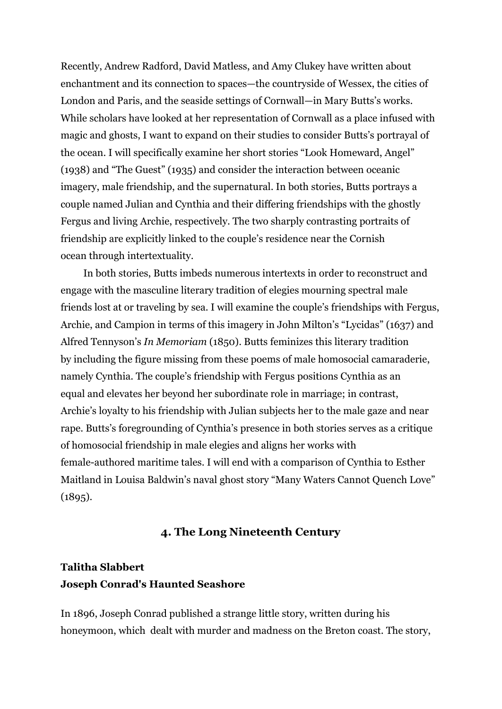Recently, Andrew Radford, David Matless, and Amy Clukey have written about enchantment and its connection to spaces—the countryside of Wessex, the cities of London and Paris, and the seaside settings of Cornwall—in Mary Butts's works. While scholars have looked at her representation of Cornwall as a place infused with magic and ghosts, I want to expand on their studies to consider Butts's portrayal of the ocean. I will specifically examine her short stories "Look Homeward, Angel" (1938) and "The Guest" (1935) and consider the interaction between oceanic imagery, male friendship, and the supernatural. In both stories, Butts portrays a couple named Julian and Cynthia and their differing friendships with the ghostly Fergus and living Archie, respectively. The two sharply contrasting portraits of friendship are explicitly linked to the couple's residence near the Cornish ocean through intertextuality.

In both stories, Butts imbeds numerous intertexts in order to reconstruct and engage with the masculine literary tradition of elegies mourning spectral male friends lost at or traveling by sea. I will examine the couple's friendships with Fergus, Archie, and Campion in terms of this imagery in John Milton's "Lycidas" (1637) and Alfred Tennyson's *In Memoriam* (1850). Butts feminizes this literary tradition by including the figure missing from these poems of male homosocial camaraderie, namely Cynthia. The couple's friendship with Fergus positions Cynthia as an equal and elevates her beyond her subordinate role in marriage; in contrast, Archie's loyalty to his friendship with Julian subjects her to the male gaze and near rape. Butts's foregrounding of Cynthia's presence in both stories serves as a critique of homosocial friendship in male elegies and aligns her works with female-authored maritime tales. I will end with a comparison of Cynthia to Esther Maitland in Louisa Baldwin's naval ghost story "Many Waters Cannot Quench Love"  $(1895).$ 

#### **4. The Long Nineteenth Century**

### **Talitha Slabbert Joseph Conrad's Haunted Seashore**

In 1896, Joseph Conrad published a strange little story, written during his honeymoon, which dealt with murder and madness on the Breton coast. The story,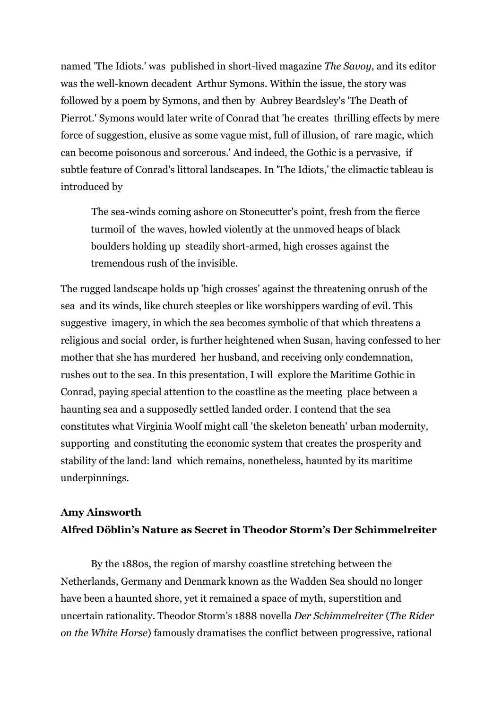named 'The Idiots.' was published in short-lived magazine *The Savoy*, and its editor was the well-known decadent Arthur Symons. Within the issue, the story was followed by a poem by Symons, and then by Aubrey Beardsley's 'The Death of Pierrot.' Symons would later write of Conrad that 'he creates thrilling effects by mere force of suggestion, elusive as some vague mist, full of illusion, of rare magic, which can become poisonous and sorcerous.' And indeed, the Gothic is a pervasive, if subtle feature of Conrad's littoral landscapes. In 'The Idiots,' the climactic tableau is introduced by

The sea-winds coming ashore on Stonecutter's point, fresh from the fierce turmoil of the waves, howled violently at the unmoved heaps of black boulders holding up steadily short-armed, high crosses against the tremendous rush of the invisible.

The rugged landscape holds up 'high crosses' against the threatening onrush of the sea and its winds, like church steeples or like worshippers warding of evil. This suggestive imagery, in which the sea becomes symbolic of that which threatens a religious and social order, is further heightened when Susan, having confessed to her mother that she has murdered her husband, and receiving only condemnation, rushes out to the sea. In this presentation, I will explore the Maritime Gothic in Conrad, paying special attention to the coastline as the meeting place between a haunting sea and a supposedly settled landed order. I contend that the sea constitutes what Virginia Woolf might call 'the skeleton beneath' urban modernity, supporting and constituting the economic system that creates the prosperity and stability of the land: land which remains, nonetheless, haunted by its maritime underpinnings.

### **Amy Ainsworth Alfred Döblin's Nature as Secret in Theodor Storm's Der Schimmelreiter**

By the 1880s, the region of marshy coastline stretching between the Netherlands, Germany and Denmark known as the Wadden Sea should no longer have been a haunted shore, yet it remained a space of myth, superstition and uncertain rationality. Theodor Storm's 1888 novella *Der Schimmelreiter* (*The Rider on the White Horse*) famously dramatises the conflict between progressive, rational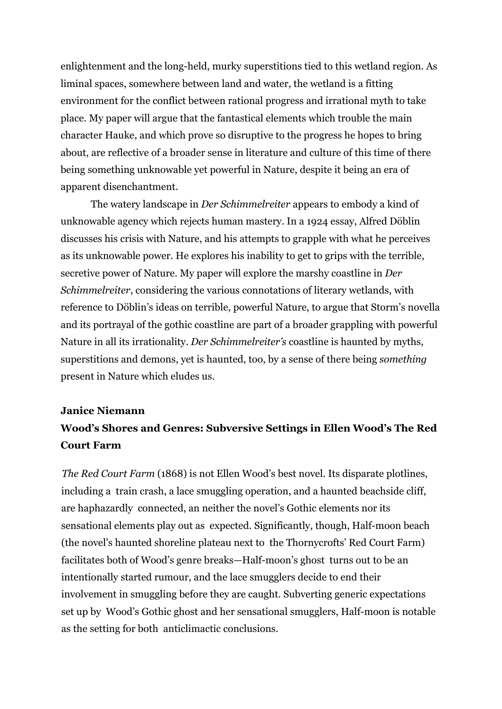enlightenment and the long-held, murky superstitions tied to this wetland region. As liminal spaces, somewhere between land and water, the wetland is a fitting environment for the conflict between rational progress and irrational myth to take place. My paper will argue that the fantastical elements which trouble the main character Hauke, and which prove so disruptive to the progress he hopes to bring about, are reflective of a broader sense in literature and culture of this time of there being something unknowable yet powerful in Nature, despite it being an era of apparent disenchantment.

The watery landscape in *Der Schimmelreiter* appears to embody a kind of unknowable agency which rejects human mastery. In a 1924 essay, Alfred Döblin discusses his crisis with Nature, and his attempts to grapple with what he perceives as its unknowable power. He explores his inability to get to grips with the terrible, secretive power of Nature. My paper will explore the marshy coastline in *Der Schimmelreiter*, considering the various connotations of literary wetlands, with reference to Döblin's ideas on terrible, powerful Nature, to argue that Storm's novella and its portrayal of the gothic coastline are part of a broader grappling with powerful Nature in all its irrationality. *Der Schimmelreiter's* coastline is haunted by myths, superstitions and demons, yet is haunted, too, by a sense of there being *something* present in Nature which eludes us.

#### **Janice Niemann**

### **Wood's Shores and Genres: Subversive Settings in Ellen Wood's The Red Court Farm**

*The Red Court Farm* (1868) is not Ellen Wood's best novel. Its disparate plotlines, including a train crash, a lace smuggling operation, and a haunted beachside cliff, are haphazardly connected, an neither the novel's Gothic elements nor its sensational elements play out as expected. Significantly, though, Half-moon beach (the novel's haunted shoreline plateau next to the Thornycrofts' Red Court Farm) facilitates both of Wood's genre breaks—Half-moon's ghost turns out to be an intentionally started rumour, and the lace smugglers decide to end their involvement in smuggling before they are caught. Subverting generic expectations set up by Wood's Gothic ghost and her sensational smugglers, Half-moon is notable as the setting for both anticlimactic conclusions.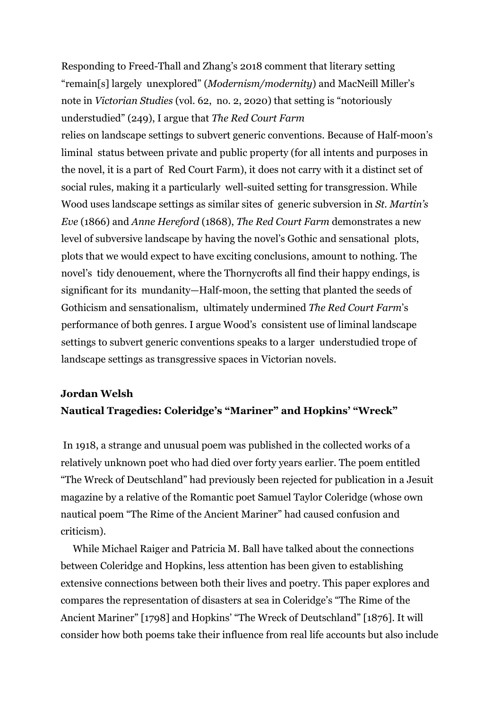Responding to Freed-Thall and Zhang's 2018 comment that literary setting "remain[s] largely unexplored" (*Modernism/modernity*) and MacNeill Miller's note in *Victorian Studies* (vol. 62, no. 2, 2020) that setting is "notoriously understudied" (249), I argue that *The Red Court Farm*

relies on landscape settings to subvert generic conventions. Because of Half-moon's liminal status between private and public property (for all intents and purposes in the novel, it is a part of Red Court Farm), it does not carry with it a distinct set of social rules, making it a particularly well-suited setting for transgression. While Wood uses landscape settings as similar sites of generic subversion in *St. Martin's Eve* (1866) and *Anne Hereford* (1868), *The Red Court Farm* demonstrates a new level of subversive landscape by having the novel's Gothic and sensational plots, plots that we would expect to have exciting conclusions, amount to nothing. The novel's tidy denouement, where the Thornycrofts all find their happy endings, is significant for its mundanity—Half-moon, the setting that planted the seeds of Gothicism and sensationalism, ultimately undermined *The Red Court Farm*'s performance of both genres. I argue Wood's consistent use of liminal landscape settings to subvert generic conventions speaks to a larger understudied trope of landscape settings as transgressive spaces in Victorian novels.

### **Jordan Welsh Nautical Tragedies: Coleridge's "Mariner" and Hopkins' "Wreck"**

In 1918, a strange and unusual poem was published in the collected works of a relatively unknown poet who had died over forty years earlier. The poem entitled "The Wreck of Deutschland" had previously been rejected for publication in a Jesuit magazine by a relative of the Romantic poet Samuel Taylor Coleridge (whose own nautical poem "The Rime of the Ancient Mariner" had caused confusion and criticism).

While Michael Raiger and Patricia M. Ball have talked about the connections between Coleridge and Hopkins, less attention has been given to establishing extensive connections between both their lives and poetry. This paper explores and compares the representation of disasters at sea in Coleridge's "The Rime of the Ancient Mariner" [1798] and Hopkins' "The Wreck of Deutschland" [1876]. It will consider how both poems take their influence from real life accounts but also include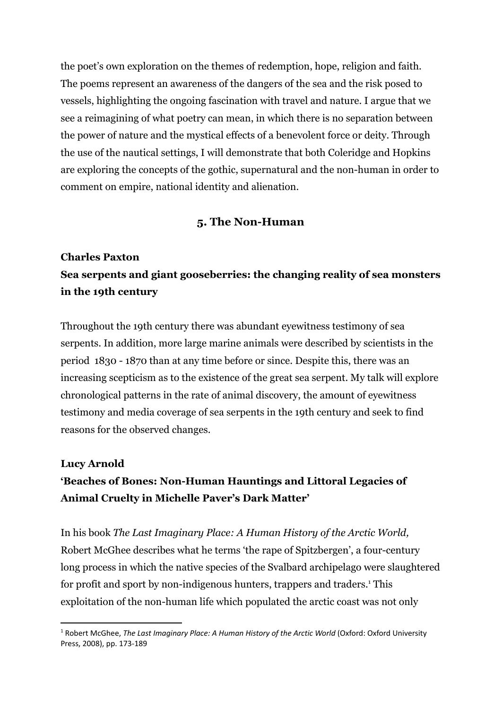the poet's own exploration on the themes of redemption, hope, religion and faith. The poems represent an awareness of the dangers of the sea and the risk posed to vessels, highlighting the ongoing fascination with travel and nature. I argue that we see a reimagining of what poetry can mean, in which there is no separation between the power of nature and the mystical effects of a benevolent force or deity. Through the use of the nautical settings, I will demonstrate that both Coleridge and Hopkins are exploring the concepts of the gothic, supernatural and the non-human in order to comment on empire, national identity and alienation.

#### **5. The Non-Human**

# **Charles Paxton Sea serpents and giant gooseberries: the changing reality of sea monsters in the 19th century**

Throughout the 19th century there was abundant eyewitness testimony of sea serpents. In addition, more large marine animals were described by scientists in the period 1830 - 1870 than at any time before or since. Despite this, there was an increasing scepticism as to the existence of the great sea serpent. My talk will explore chronological patterns in the rate of animal discovery, the amount of eyewitness testimony and media coverage of sea serpents in the 19th century and seek to find reasons for the observed changes.

#### **Lucy Arnold**

# **'Beaches of Bones: Non-Human Hauntings and Littoral Legacies of Animal Cruelty in Michelle Paver's Dark Matter'**

In his book *The Last Imaginary Place: A Human History of the Arctic World,* Robert McGhee describes what he terms 'the rape of Spitzbergen', a four-century long process in which the native species of the Svalbard archipelago were slaughtered for profit and sport by non-indigenous hunters, trappers and traders.<sup>1</sup> This exploitation of the non-human life which populated the arctic coast was not only

<sup>1</sup> Robert McGhee, *The Last Imaginary Place: A Human History of the Arctic World* (Oxford: Oxford University Press, 2008), pp. 173-189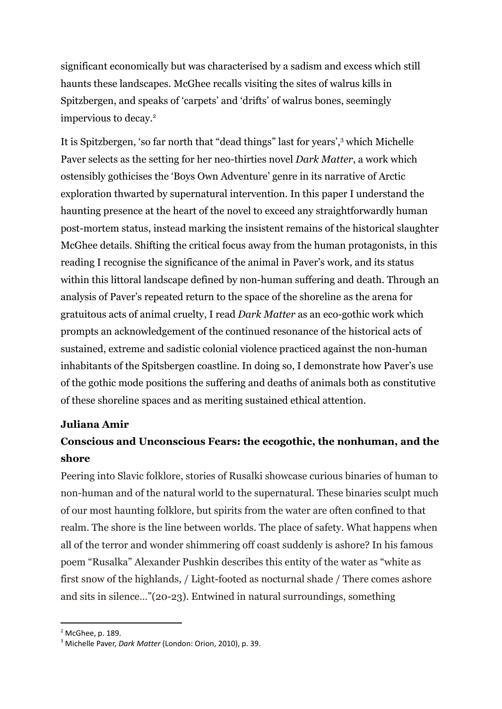significant economically but was characterised by a sadism and excess which still haunts these landscapes. McGhee recalls visiting the sites of walrus kills in Spitzbergen, and speaks of 'carpets' and 'drifts' of walrus bones, seemingly impervious to decay.<sup>2</sup>

It is Spitzbergen, 'so far north that "dead things" last for years',<sup>3</sup> which Michelle Paver selects as the setting for her neo-thirties novel *Dark Matter*, a work which ostensibly gothicises the 'Boys Own Adventure' genre in its narrative of Arctic exploration thwarted by supernatural intervention*.* In this paper I understand the haunting presence at the heart of the novel to exceed any straightforwardly human post-mortem status, instead marking the insistent remains of the historical slaughter McGhee details. Shifting the critical focus away from the human protagonists, in this reading I recognise the significance of the animal in Paver's work, and its status within this littoral landscape defined by non-human suffering and death. Through an analysis of Paver's repeated return to the space of the shoreline as the arena for gratuitous acts of animal cruelty, I read *Dark Matter* as an eco-gothic work which prompts an acknowledgement of the continued resonance of the historical acts of sustained, extreme and sadistic colonial violence practiced against the non-human inhabitants of the Spitsbergen coastline. In doing so, I demonstrate how Paver's use of the gothic mode positions the suffering and deaths of animals both as constitutive of these shoreline spaces and as meriting sustained ethical attention.

#### **Juliana Amir**

### **Conscious and Unconscious Fears: the ecogothic, the nonhuman, and the shore**

Peering into Slavic folklore, stories of Rusalki showcase curious binaries of human to non-human and of the natural world to the supernatural. These binaries sculpt much of our most haunting folklore, but spirits from the water are often confined to that realm. The shore is the line between worlds. The place of safety. What happens when all of the terror and wonder shimmering off coast suddenly is ashore? In his famous poem "Rusalka" Alexander Pushkin describes this entity of the water as "white as first snow of the highlands, / Light-footed as nocturnal shade / There comes ashore and sits in silence…"(20-23). Entwined in natural surroundings, something

<sup>2</sup> McGhee, p. 189.

<sup>3</sup> Michelle Paver, *Dark Matter* (London: Orion, 2010), p. 39.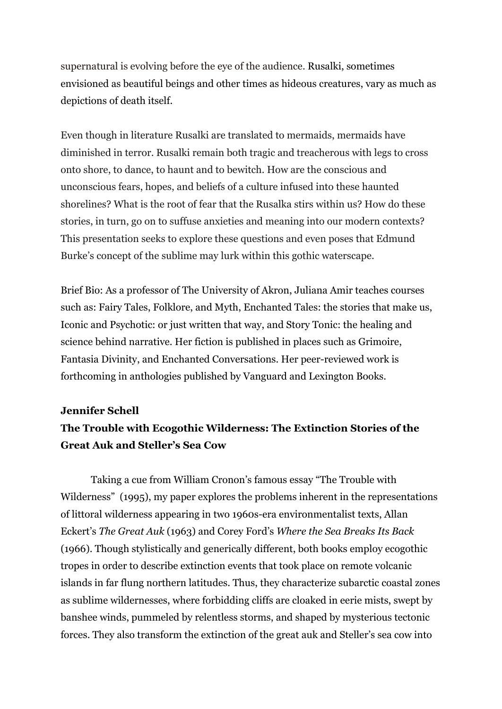supernatural is evolving before the eye of the audience. Rusalki, sometimes envisioned as beautiful beings and other times as hideous creatures, vary as much as depictions of death itself.

Even though in literature Rusalki are translated to mermaids, mermaids have diminished in terror. Rusalki remain both tragic and treacherous with legs to cross onto shore, to dance, to haunt and to bewitch. How are the conscious and unconscious fears, hopes, and beliefs of a culture infused into these haunted shorelines? What is the root of fear that the Rusalka stirs within us? How do these stories, in turn, go on to suffuse anxieties and meaning into our modern contexts? This presentation seeks to explore these questions and even poses that Edmund Burke's concept of the sublime may lurk within this gothic waterscape.

Brief Bio: As a professor of The University of Akron, Juliana Amir teaches courses such as: Fairy Tales, Folklore, and Myth, Enchanted Tales: the stories that make us, Iconic and Psychotic: or just written that way, and Story Tonic: the healing and science behind narrative. Her fiction is published in places such as Grimoire, Fantasia Divinity, and Enchanted Conversations. Her peer-reviewed work is forthcoming in anthologies published by Vanguard and Lexington Books.

#### **Jennifer Schell**

### **The Trouble with Ecogothic Wilderness: The Extinction Stories of the Great Auk and Steller's Sea Cow**

Taking a cue from William Cronon's famous essay "The Trouble with Wilderness" (1995), my paper explores the problems inherent in the representations of littoral wilderness appearing in two 1960s-era environmentalist texts, Allan Eckert's *The Great Auk* (1963) and Corey Ford's *Where the Sea Breaks Its Back* (1966). Though stylistically and generically different, both books employ ecogothic tropes in order to describe extinction events that took place on remote volcanic islands in far flung northern latitudes. Thus, they characterize subarctic coastal zones as sublime wildernesses, where forbidding cliffs are cloaked in eerie mists, swept by banshee winds, pummeled by relentless storms, and shaped by mysterious tectonic forces. They also transform the extinction of the great auk and Steller's sea cow into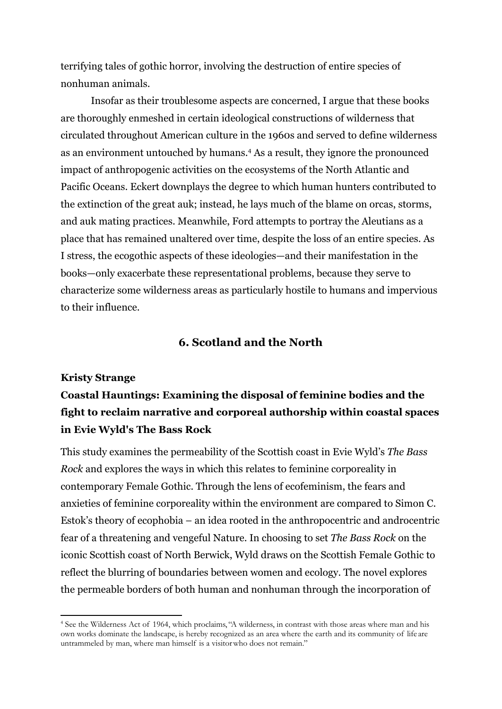terrifying tales of gothic horror, involving the destruction of entire species of nonhuman animals.

Insofar as their troublesome aspects are concerned, I argue that these books are thoroughly enmeshed in certain ideological constructions of wilderness that circulated throughout American culture in the 1960s and served to define wilderness as an environment untouched by humans.<sup>4</sup> As a result, they ignore the pronounced impact of anthropogenic activities on the ecosystems of the North Atlantic and Pacific Oceans. Eckert downplays the degree to which human hunters contributed to the extinction of the great auk; instead, he lays much of the blame on orcas, storms, and auk mating practices. Meanwhile, Ford attempts to portray the Aleutians as a place that has remained unaltered over time, despite the loss of an entire species. As I stress, the ecogothic aspects of these ideologies—and their manifestation in the books—only exacerbate these representational problems, because they serve to characterize some wilderness areas as particularly hostile to humans and impervious to their influence.

#### **6. Scotland and the North**

#### **Kristy Strange**

# **Coastal Hauntings: Examining the disposal of feminine bodies and the fight to reclaim narrative and corporeal authorship within coastal spaces in Evie Wyld's The Bass Rock**

This study examines the permeability of the Scottish coast in Evie Wyld's *The Bass Rock* and explores the ways in which this relates to feminine corporeality in contemporary Female Gothic. Through the lens of ecofeminism, the fears and anxieties of feminine corporeality within the environment are compared to Simon C. Estok's theory of ecophobia – an idea rooted in the anthropocentric and androcentric fear of a threatening and vengeful Nature. In choosing to set *The Bass Rock* on the iconic Scottish coast of North Berwick, Wyld draws on the Scottish Female Gothic to reflect the blurring of boundaries between women and ecology. The novel explores the permeable borders of both human and nonhuman through the incorporation of

<sup>4</sup> See the Wilderness Act of 1964, which proclaims, "A wilderness, in contrast with those areas where man and his own works dominate the landscape, is hereby recognized as an area where the earth and its community of life are untrammeled by man, where man himself is a visitorwho does not remain."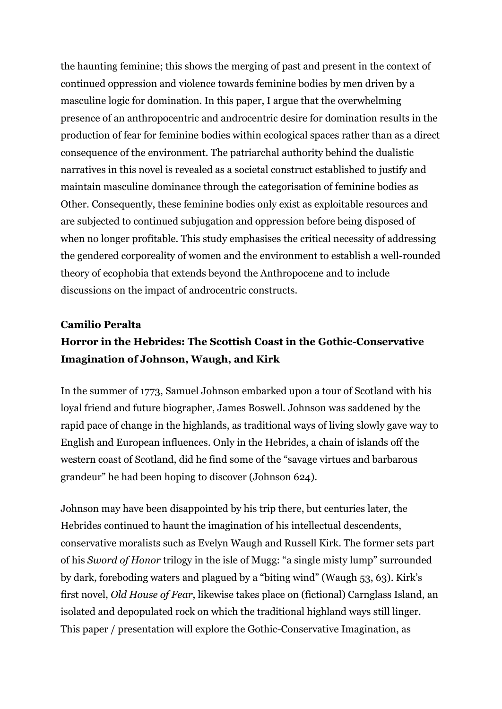the haunting feminine; this shows the merging of past and present in the context of continued oppression and violence towards feminine bodies by men driven by a masculine logic for domination. In this paper, I argue that the overwhelming presence of an anthropocentric and androcentric desire for domination results in the production of fear for feminine bodies within ecological spaces rather than as a direct consequence of the environment. The patriarchal authority behind the dualistic narratives in this novel is revealed as a societal construct established to justify and maintain masculine dominance through the categorisation of feminine bodies as Other. Consequently, these feminine bodies only exist as exploitable resources and are subjected to continued subjugation and oppression before being disposed of when no longer profitable. This study emphasises the critical necessity of addressing the gendered corporeality of women and the environment to establish a well-rounded theory of ecophobia that extends beyond the Anthropocene and to include discussions on the impact of androcentric constructs.

#### **Camilio Peralta**

### **Horror in the Hebrides: The Scottish Coast in the Gothic-Conservative Imagination of Johnson, Waugh, and Kirk**

In the summer of 1773, Samuel Johnson embarked upon a tour of Scotland with his loyal friend and future biographer, James Boswell. Johnson was saddened by the rapid pace of change in the highlands, as traditional ways of living slowly gave way to English and European influences. Only in the Hebrides, a chain of islands off the western coast of Scotland, did he find some of the "savage virtues and barbarous grandeur" he had been hoping to discover (Johnson 624).

Johnson may have been disappointed by his trip there, but centuries later, the Hebrides continued to haunt the imagination of his intellectual descendents, conservative moralists such as Evelyn Waugh and Russell Kirk. The former sets part of his *Sword of Honor* trilogy in the isle of Mugg: "a single misty lump" surrounded by dark, foreboding waters and plagued by a "biting wind" (Waugh 53, 63). Kirk's first novel, *Old House of Fear*, likewise takes place on (fictional) Carnglass Island, an isolated and depopulated rock on which the traditional highland ways still linger. This paper / presentation will explore the Gothic-Conservative Imagination, as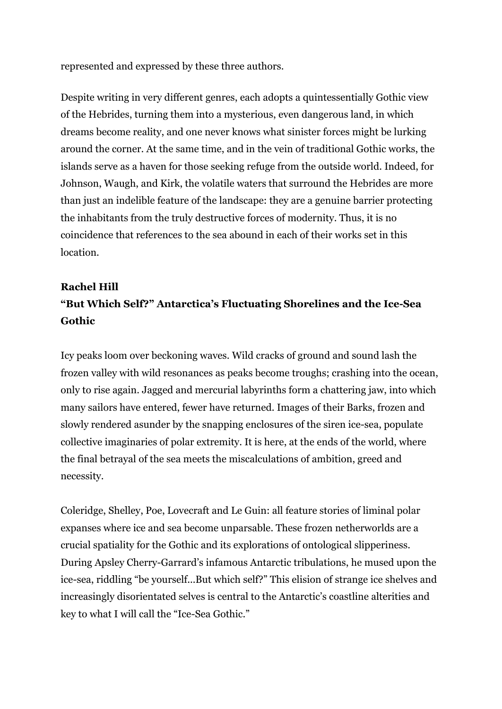represented and expressed by these three authors.

Despite writing in very different genres, each adopts a quintessentially Gothic view of the Hebrides, turning them into a mysterious, even dangerous land, in which dreams become reality, and one never knows what sinister forces might be lurking around the corner. At the same time, and in the vein of traditional Gothic works, the islands serve as a haven for those seeking refuge from the outside world. Indeed, for Johnson, Waugh, and Kirk, the volatile waters that surround the Hebrides are more than just an indelible feature of the landscape: they are a genuine barrier protecting the inhabitants from the truly destructive forces of modernity. Thus, it is no coincidence that references to the sea abound in each of their works set in this location.

# **Rachel Hill "But Which Self?" Antarctica's Fluctuating Shorelines and the Ice-Sea Gothic**

Icy peaks loom over beckoning waves. Wild cracks of ground and sound lash the frozen valley with wild resonances as peaks become troughs; crashing into the ocean, only to rise again. Jagged and mercurial labyrinths form a chattering jaw, into which many sailors have entered, fewer have returned. Images of their Barks, frozen and slowly rendered asunder by the snapping enclosures of the siren ice-sea, populate collective imaginaries of polar extremity. It is here, at the ends of the world, where the final betrayal of the sea meets the miscalculations of ambition, greed and necessity.

Coleridge, Shelley, Poe, Lovecraft and Le Guin: all feature stories of liminal polar expanses where ice and sea become unparsable. These frozen netherworlds are a crucial spatiality for the Gothic and its explorations of ontological slipperiness. During Apsley Cherry-Garrard's infamous Antarctic tribulations, he mused upon the ice-sea, riddling "be yourself...But which self?" This elision of strange ice shelves and increasingly disorientated selves is central to the Antarctic's coastline alterities and key to what I will call the "Ice-Sea Gothic."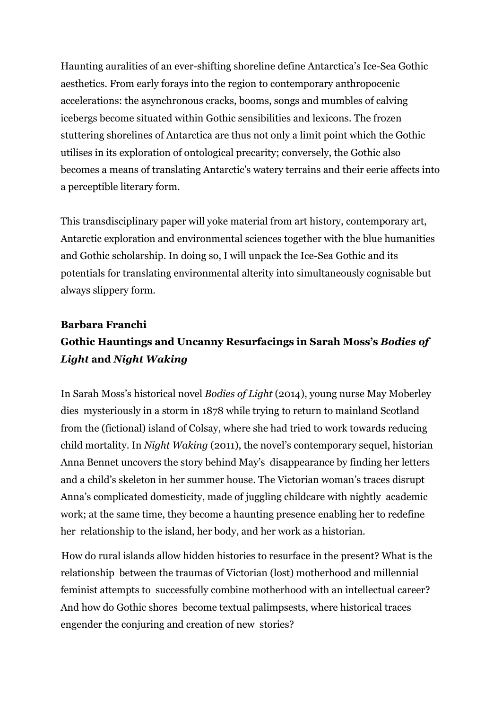Haunting auralities of an ever-shifting shoreline define Antarctica's Ice-Sea Gothic aesthetics. From early forays into the region to contemporary anthropocenic accelerations: the asynchronous cracks, booms, songs and mumbles of calving icebergs become situated within Gothic sensibilities and lexicons. The frozen stuttering shorelines of Antarctica are thus not only a limit point which the Gothic utilises in its exploration of ontological precarity; conversely, the Gothic also becomes a means of translating Antarctic's watery terrains and their eerie affects into a perceptible literary form.

This transdisciplinary paper will yoke material from art history, contemporary art, Antarctic exploration and environmental sciences together with the blue humanities and Gothic scholarship. In doing so, I will unpack the Ice-Sea Gothic and its potentials for translating environmental alterity into simultaneously cognisable but always slippery form.

# **Barbara Franchi Gothic Hauntings and Uncanny Resurfacings in Sarah Moss's** *Bodies of Light* **and** *Night Waking*

In Sarah Moss's historical novel *Bodies of Light* (2014), young nurse May Moberley dies mysteriously in a storm in 1878 while trying to return to mainland Scotland from the (fictional) island of Colsay, where she had tried to work towards reducing child mortality. In *Night Waking* (2011), the novel's contemporary sequel, historian Anna Bennet uncovers the story behind May's disappearance by finding her letters and a child's skeleton in her summer house. The Victorian woman's traces disrupt Anna's complicated domesticity, made of juggling childcare with nightly academic work; at the same time, they become a haunting presence enabling her to redefine her relationship to the island, her body, and her work as a historian.

How do rural islands allow hidden histories to resurface in the present? What is the relationship between the traumas of Victorian (lost) motherhood and millennial feminist attempts to successfully combine motherhood with an intellectual career? And how do Gothic shores become textual palimpsests, where historical traces engender the conjuring and creation of new stories?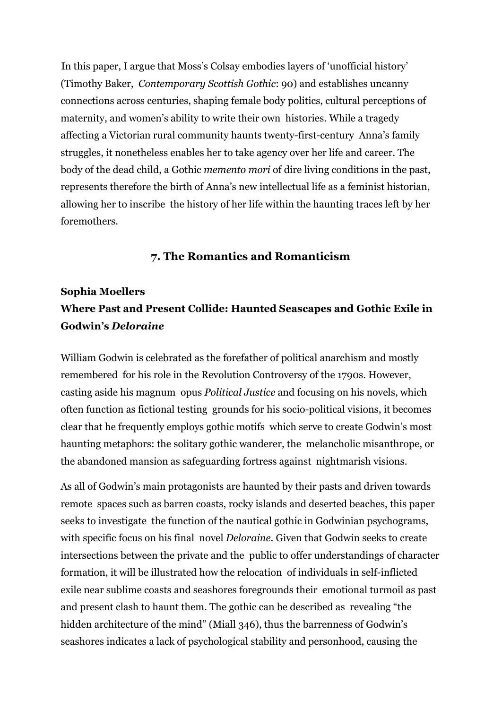In this paper, I argue that Moss's Colsay embodies layers of 'unofficial history' (Timothy Baker, *Contemporary Scottish Gothic*: 90) and establishes uncanny connections across centuries, shaping female body politics, cultural perceptions of maternity, and women's ability to write their own histories. While a tragedy affecting a Victorian rural community haunts twenty-first-century Anna's family struggles, it nonetheless enables her to take agency over her life and career. The body of the dead child, a Gothic *memento mori* of dire living conditions in the past, represents therefore the birth of Anna's new intellectual life as a feminist historian, allowing her to inscribe the history of her life within the haunting traces left by her foremothers.

#### **7. The Romantics and Romanticism**

# **Sophia Moellers Where Past and Present Collide: Haunted Seascapes and Gothic Exile in Godwin's** *Deloraine*

William Godwin is celebrated as the forefather of political anarchism and mostly remembered for his role in the Revolution Controversy of the 1790s. However, casting aside his magnum opus *Political Justice* and focusing on his novels, which often function as fictional testing grounds for his socio-political visions, it becomes clear that he frequently employs gothic motifs which serve to create Godwin's most haunting metaphors: the solitary gothic wanderer, the melancholic misanthrope, or the abandoned mansion as safeguarding fortress against nightmarish visions.

As all of Godwin's main protagonists are haunted by their pasts and driven towards remote spaces such as barren coasts, rocky islands and deserted beaches, this paper seeks to investigate the function of the nautical gothic in Godwinian psychograms, with specific focus on his final novel *Deloraine*. Given that Godwin seeks to create intersections between the private and the public to offer understandings of character formation, it will be illustrated how the relocation of individuals in self-inflicted exile near sublime coasts and seashores foregrounds their emotional turmoil as past and present clash to haunt them. The gothic can be described as revealing "the hidden architecture of the mind" (Miall 346), thus the barrenness of Godwin's seashores indicates a lack of psychological stability and personhood, causing the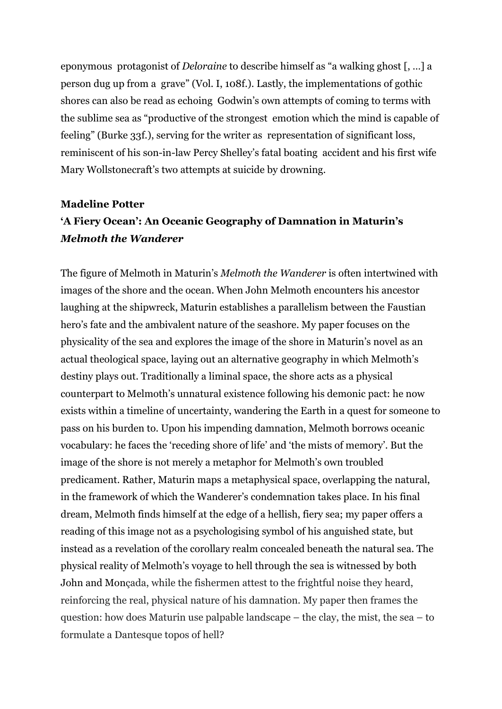eponymous protagonist of *Deloraine* to describe himself as "a walking ghost [, …] a person dug up from a grave" (Vol. I, 108f.). Lastly, the implementations of gothic shores can also be read as echoing Godwin's own attempts of coming to terms with the sublime sea as "productive of the strongest emotion which the mind is capable of feeling" (Burke 33f.), serving for the writer as representation of significant loss, reminiscent of his son-in-law Percy Shelley's fatal boating accident and his first wife Mary Wollstonecraft's two attempts at suicide by drowning.

### **Madeline Potter 'A Fiery Ocean': An Oceanic Geography of Damnation in Maturin's** *Melmoth the Wanderer*

The figure of Melmoth in Maturin's *Melmoth the Wanderer* is often intertwined with images of the shore and the ocean. When John Melmoth encounters his ancestor laughing at the shipwreck, Maturin establishes a parallelism between the Faustian hero's fate and the ambivalent nature of the seashore. My paper focuses on the physicality of the sea and explores the image of the shore in Maturin's novel as an actual theological space, laying out an alternative geography in which Melmoth's destiny plays out. Traditionally a liminal space, the shore acts as a physical counterpart to Melmoth's unnatural existence following his demonic pact: he now exists within a timeline of uncertainty, wandering the Earth in a quest for someone to pass on his burden to. Upon his impending damnation, Melmoth borrows oceanic vocabulary: he faces the 'receding shore of life' and 'the mists of memory'. But the image of the shore is not merely a metaphor for Melmoth's own troubled predicament. Rather, Maturin maps a metaphysical space, overlapping the natural, in the framework of which the Wanderer's condemnation takes place. In his final dream, Melmoth finds himself at the edge of a hellish, fiery sea; my paper offers a reading of this image not as a psychologising symbol of his anguished state, but instead as a revelation of the corollary realm concealed beneath the natural sea. The physical reality of Melmoth's voyage to hell through the sea is witnessed by both John and Monçada, while the fishermen attest to the frightful noise they heard, reinforcing the real, physical nature of his damnation. My paper then frames the question: how does Maturin use palpable landscape – the clay, the mist, the sea – to formulate a Dantesque topos of hell?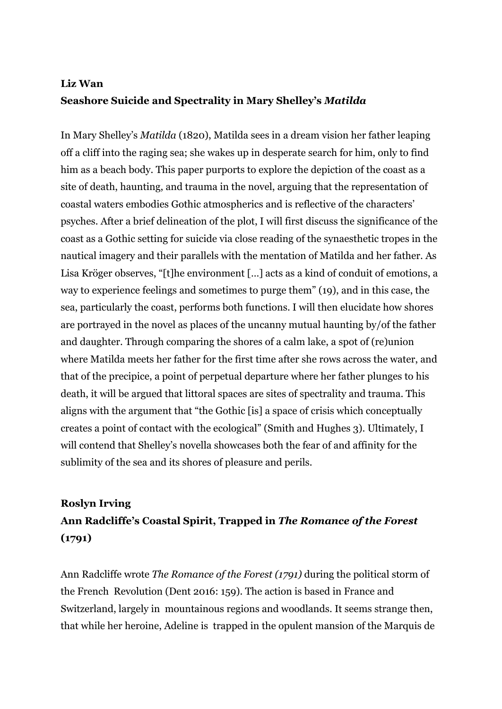### **Liz Wan Seashore Suicide and Spectrality in Mary Shelley's** *Matilda*

In Mary Shelley's *Matilda* (1820), Matilda sees in a dream vision her father leaping off a cliff into the raging sea; she wakes up in desperate search for him, only to find him as a beach body. This paper purports to explore the depiction of the coast as a site of death, haunting, and trauma in the novel, arguing that the representation of coastal waters embodies Gothic atmospherics and is reflective of the characters' psyches. After a brief delineation of the plot, I will first discuss the significance of the coast as a Gothic setting for suicide via close reading of the synaesthetic tropes in the nautical imagery and their parallels with the mentation of Matilda and her father. As Lisa Kröger observes, "[t]he environment […] acts as a kind of conduit of emotions, a way to experience feelings and sometimes to purge them" (19), and in this case, the sea, particularly the coast, performs both functions. I will then elucidate how shores are portrayed in the novel as places of the uncanny mutual haunting by/of the father and daughter. Through comparing the shores of a calm lake, a spot of (re)union where Matilda meets her father for the first time after she rows across the water, and that of the precipice, a point of perpetual departure where her father plunges to his death, it will be argued that littoral spaces are sites of spectrality and trauma. This aligns with the argument that "the Gothic [is] a space of crisis which conceptually creates a point of contact with the ecological" (Smith and Hughes 3). Ultimately, I will contend that Shelley's novella showcases both the fear of and affinity for the sublimity of the sea and its shores of pleasure and perils.

# **Roslyn Irving Ann Radcliffe's Coastal Spirit, Trapped in** *The Romance of the Forest* **(1791)**

Ann Radcliffe wrote *The Romance of the Forest (1791)* during the political storm of the French Revolution (Dent 2016: 159). The action is based in France and Switzerland, largely in mountainous regions and woodlands. It seems strange then, that while her heroine, Adeline is trapped in the opulent mansion of the Marquis de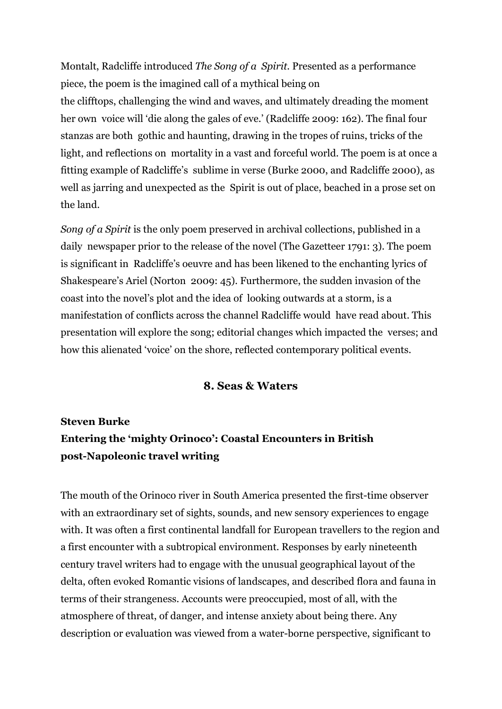Montalt, Radcliffe introduced *The Song of a Spirit.* Presented as a performance piece, the poem is the imagined call of a mythical being on

the clifftops, challenging the wind and waves, and ultimately dreading the moment her own voice will 'die along the gales of eve.' (Radcliffe 2009: 162). The final four stanzas are both gothic and haunting, drawing in the tropes of ruins, tricks of the light, and reflections on mortality in a vast and forceful world. The poem is at once a fitting example of Radcliffe's sublime in verse (Burke 2000, and Radcliffe 2000), as well as jarring and unexpected as the Spirit is out of place, beached in a prose set on the land.

*Song of a Spirit* is the only poem preserved in archival collections, published in a daily newspaper prior to the release of the novel (The Gazetteer 1791: 3). The poem is significant in Radcliffe's oeuvre and has been likened to the enchanting lyrics of Shakespeare's Ariel (Norton 2009: 45). Furthermore, the sudden invasion of the coast into the novel's plot and the idea of looking outwards at a storm, is a manifestation of conflicts across the channel Radcliffe would have read about. This presentation will explore the song; editorial changes which impacted the verses; and how this alienated 'voice' on the shore, reflected contemporary political events.

#### **8. Seas & Waters**

# **Steven Burke Entering the 'mighty Orinoco': Coastal Encounters in British post-Napoleonic travel writing**

The mouth of the Orinoco river in South America presented the first-time observer with an extraordinary set of sights, sounds, and new sensory experiences to engage with. It was often a first continental landfall for European travellers to the region and a first encounter with a subtropical environment. Responses by early nineteenth century travel writers had to engage with the unusual geographical layout of the delta, often evoked Romantic visions of landscapes, and described flora and fauna in terms of their strangeness. Accounts were preoccupied, most of all, with the atmosphere of threat, of danger, and intense anxiety about being there. Any description or evaluation was viewed from a water-borne perspective, significant to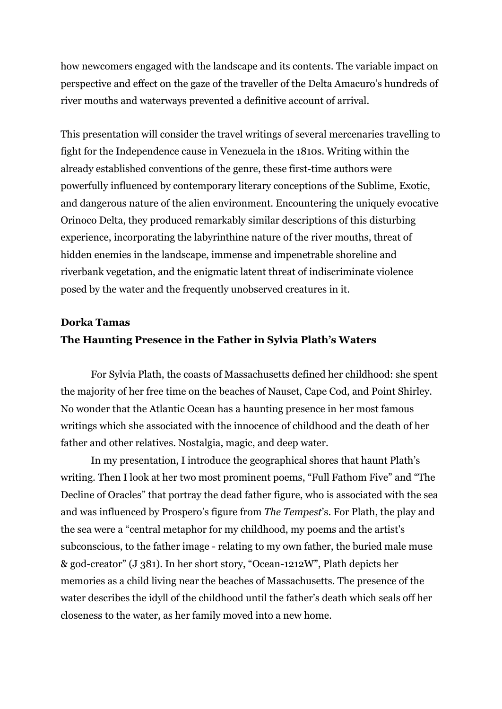how newcomers engaged with the landscape and its contents. The variable impact on perspective and effect on the gaze of the traveller of the Delta Amacuro's hundreds of river mouths and waterways prevented a definitive account of arrival.

This presentation will consider the travel writings of several mercenaries travelling to fight for the Independence cause in Venezuela in the 1810s. Writing within the already established conventions of the genre, these first-time authors were powerfully influenced by contemporary literary conceptions of the Sublime, Exotic, and dangerous nature of the alien environment. Encountering the uniquely evocative Orinoco Delta, they produced remarkably similar descriptions of this disturbing experience, incorporating the labyrinthine nature of the river mouths, threat of hidden enemies in the landscape, immense and impenetrable shoreline and riverbank vegetation, and the enigmatic latent threat of indiscriminate violence posed by the water and the frequently unobserved creatures in it.

### **Dorka Tamas The Haunting Presence in the Father in Sylvia Plath's Waters**

For Sylvia Plath, the coasts of Massachusetts defined her childhood: she spent the majority of her free time on the beaches of Nauset, Cape Cod, and Point Shirley. No wonder that the Atlantic Ocean has a haunting presence in her most famous writings which she associated with the innocence of childhood and the death of her father and other relatives. Nostalgia, magic, and deep water.

In my presentation, I introduce the geographical shores that haunt Plath's writing. Then I look at her two most prominent poems, "Full Fathom Five" and "The Decline of Oracles" that portray the dead father figure, who is associated with the sea and was influenced by Prospero's figure from *The Tempest*'s. For Plath, the play and the sea were a "central metaphor for my childhood, my poems and the artist's subconscious, to the father image - relating to my own father, the buried male muse & god-creator" (J 381). In her short story, "Ocean-1212W", Plath depicts her memories as a child living near the beaches of Massachusetts. The presence of the water describes the idyll of the childhood until the father's death which seals off her closeness to the water, as her family moved into a new home.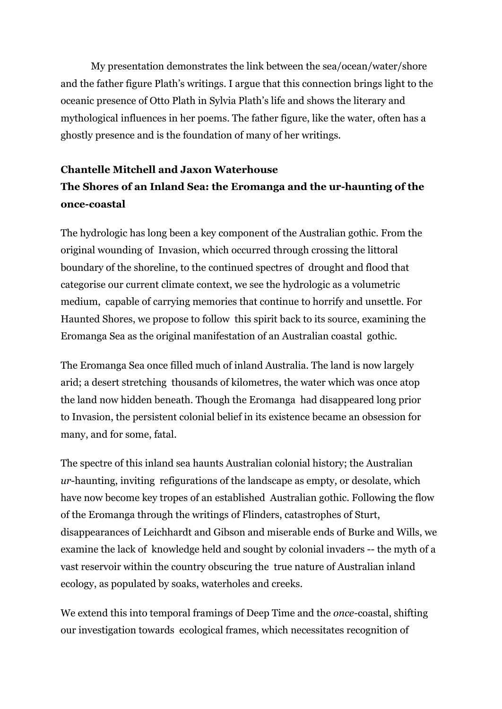My presentation demonstrates the link between the sea/ocean/water/shore and the father figure Plath's writings. I argue that this connection brings light to the oceanic presence of Otto Plath in Sylvia Plath's life and shows the literary and mythological influences in her poems. The father figure, like the water, often has a ghostly presence and is the foundation of many of her writings.

# **Chantelle Mitchell and Jaxon Waterhouse The Shores of an Inland Sea: the Eromanga and the ur-haunting of the once-coastal**

The hydrologic has long been a key component of the Australian gothic. From the original wounding of Invasion, which occurred through crossing the littoral boundary of the shoreline, to the continued spectres of drought and flood that categorise our current climate context, we see the hydrologic as a volumetric medium, capable of carrying memories that continue to horrify and unsettle. For Haunted Shores, we propose to follow this spirit back to its source, examining the Eromanga Sea as the original manifestation of an Australian coastal gothic.

The Eromanga Sea once filled much of inland Australia. The land is now largely arid; a desert stretching thousands of kilometres, the water which was once atop the land now hidden beneath. Though the Eromanga had disappeared long prior to Invasion, the persistent colonial belief in its existence became an obsession for many, and for some, fatal.

The spectre of this inland sea haunts Australian colonial history; the Australian *ur*-haunting, inviting refigurations of the landscape as empty, or desolate, which have now become key tropes of an established Australian gothic. Following the flow of the Eromanga through the writings of Flinders, catastrophes of Sturt, disappearances of Leichhardt and Gibson and miserable ends of Burke and Wills, we examine the lack of knowledge held and sought by colonial invaders -- the myth of a vast reservoir within the country obscuring the true nature of Australian inland ecology, as populated by soaks, waterholes and creeks.

We extend this into temporal framings of Deep Time and the *once-*coastal, shifting our investigation towards ecological frames, which necessitates recognition of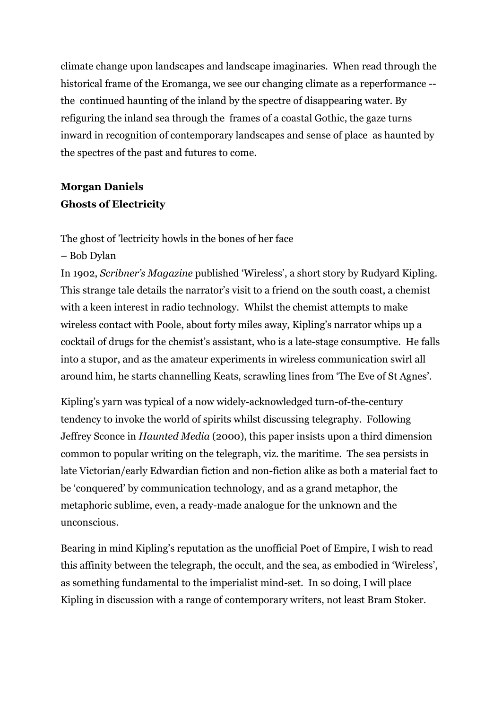climate change upon landscapes and landscape imaginaries. When read through the historical frame of the Eromanga, we see our changing climate as a reperformance - the continued haunting of the inland by the spectre of disappearing water. By refiguring the inland sea through the frames of a coastal Gothic, the gaze turns inward in recognition of contemporary landscapes and sense of place as haunted by the spectres of the past and futures to come.

# **Morgan Daniels Ghosts of Electricity**

The ghost of 'lectricity howls in the bones of her face

#### – Bob Dylan

In 1902, *Scribner's Magazine* published 'Wireless', a short story by Rudyard Kipling. This strange tale details the narrator's visit to a friend on the south coast, a chemist with a keen interest in radio technology. Whilst the chemist attempts to make wireless contact with Poole, about forty miles away, Kipling's narrator whips up a cocktail of drugs for the chemist's assistant, who is a late-stage consumptive. He falls into a stupor, and as the amateur experiments in wireless communication swirl all around him, he starts channelling Keats, scrawling lines from 'The Eve of St Agnes'.

Kipling's yarn was typical of a now widely-acknowledged turn-of-the-century tendency to invoke the world of spirits whilst discussing telegraphy. Following Jeffrey Sconce in *Haunted Media* (2000), this paper insists upon a third dimension common to popular writing on the telegraph, viz. the maritime. The sea persists in late Victorian/early Edwardian fiction and non-fiction alike as both a material fact to be 'conquered' by communication technology, and as a grand metaphor, the metaphoric sublime, even, a ready-made analogue for the unknown and the unconscious.

Bearing in mind Kipling's reputation as the unofficial Poet of Empire, I wish to read this affinity between the telegraph, the occult, and the sea, as embodied in 'Wireless', as something fundamental to the imperialist mind-set. In so doing, I will place Kipling in discussion with a range of contemporary writers, not least Bram Stoker.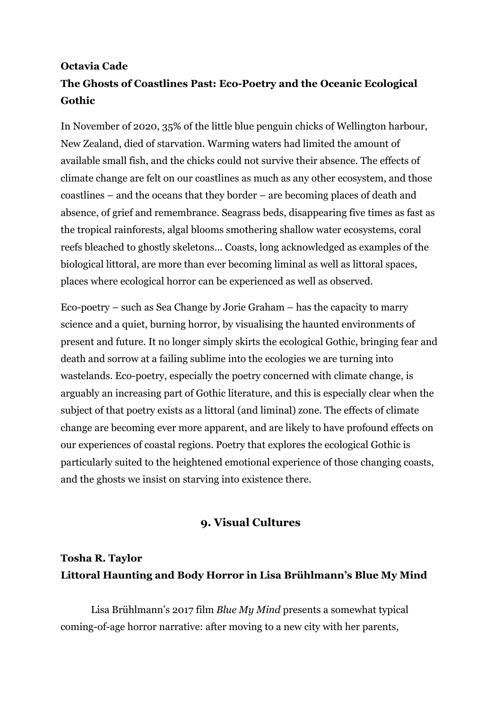# **Octavia Cade The Ghosts of Coastlines Past: Eco-Poetry and the Oceanic Ecological Gothic**

In November of 2020, 35% of the little blue penguin chicks of Wellington harbour, New Zealand, died of starvation. Warming waters had limited the amount of available small fish, and the chicks could not survive their absence. The effects of climate change are felt on our coastlines as much as any other ecosystem, and those coastlines – and the oceans that they border – are becoming places of death and absence, of grief and remembrance. Seagrass beds, disappearing five times as fast as the tropical rainforests, algal blooms smothering shallow water ecosystems, coral reefs bleached to ghostly skeletons... Coasts, long acknowledged as examples of the biological littoral, are more than ever becoming liminal as well as littoral spaces, places where ecological horror can be experienced as well as observed.

Eco-poetry – such as Sea Change by Jorie Graham – has the capacity to marry science and a quiet, burning horror, by visualising the haunted environments of present and future. It no longer simply skirts the ecological Gothic, bringing fear and death and sorrow at a failing sublime into the ecologies we are turning into wastelands. Eco-poetry, especially the poetry concerned with climate change, is arguably an increasing part of Gothic literature, and this is especially clear when the subject of that poetry exists as a littoral (and liminal) zone. The effects of climate change are becoming ever more apparent, and are likely to have profound effects on our experiences of coastal regions. Poetry that explores the ecological Gothic is particularly suited to the heightened emotional experience of those changing coasts, and the ghosts we insist on starving into existence there.

#### **9. Visual Cultures**

# **Tosha R. Taylor Littoral Haunting and Body Horror in Lisa Brühlmann's Blue My Mind**

Lisa Brühlmann's 2017 film *Blue My Mind* presents a somewhat typical coming-of-age horror narrative: after moving to a new city with her parents,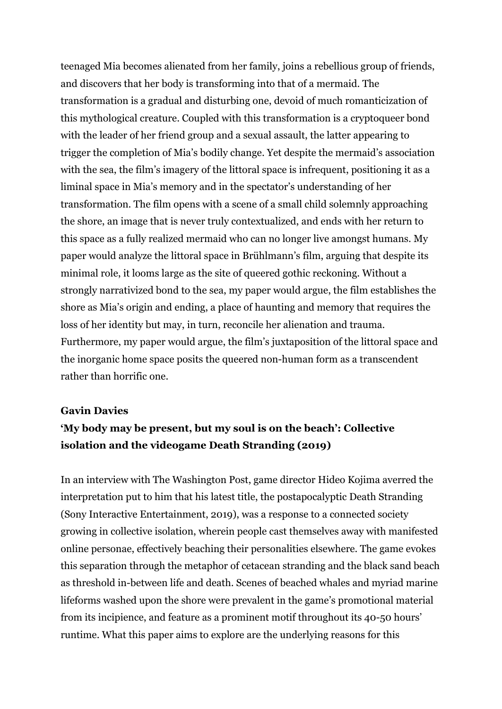teenaged Mia becomes alienated from her family, joins a rebellious group of friends, and discovers that her body is transforming into that of a mermaid. The transformation is a gradual and disturbing one, devoid of much romanticization of this mythological creature. Coupled with this transformation is a cryptoqueer bond with the leader of her friend group and a sexual assault, the latter appearing to trigger the completion of Mia's bodily change. Yet despite the mermaid's association with the sea, the film's imagery of the littoral space is infrequent, positioning it as a liminal space in Mia's memory and in the spectator's understanding of her transformation. The film opens with a scene of a small child solemnly approaching the shore, an image that is never truly contextualized, and ends with her return to this space as a fully realized mermaid who can no longer live amongst humans. My paper would analyze the littoral space in Brühlmann's film, arguing that despite its minimal role, it looms large as the site of queered gothic reckoning. Without a strongly narrativized bond to the sea, my paper would argue, the film establishes the shore as Mia's origin and ending, a place of haunting and memory that requires the loss of her identity but may, in turn, reconcile her alienation and trauma. Furthermore, my paper would argue, the film's juxtaposition of the littoral space and the inorganic home space posits the queered non-human form as a transcendent rather than horrific one.

#### **Gavin Davies**

### **'My body may be present, but my soul is on the beach': Collective isolation and the videogame Death Stranding (2019)**

In an interview with The Washington Post, game director Hideo Kojima averred the interpretation put to him that his latest title, the postapocalyptic Death Stranding (Sony Interactive Entertainment, 2019), was a response to a connected society growing in collective isolation, wherein people cast themselves away with manifested online personae, effectively beaching their personalities elsewhere. The game evokes this separation through the metaphor of cetacean stranding and the black sand beach as threshold in-between life and death. Scenes of beached whales and myriad marine lifeforms washed upon the shore were prevalent in the game's promotional material from its incipience, and feature as a prominent motif throughout its 40-50 hours' runtime. What this paper aims to explore are the underlying reasons for this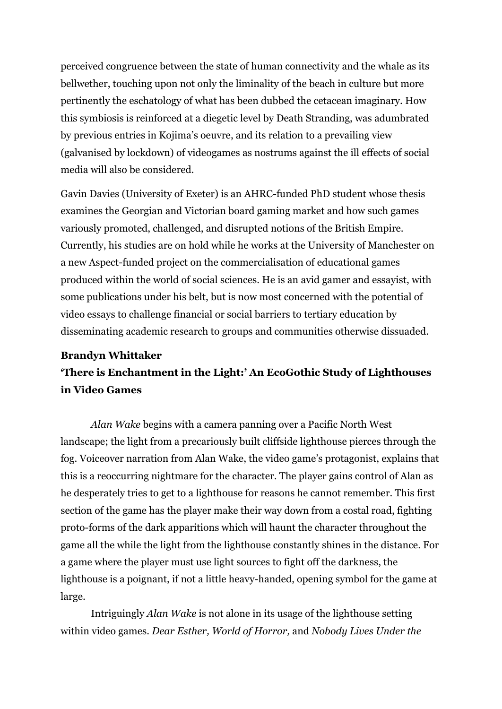perceived congruence between the state of human connectivity and the whale as its bellwether, touching upon not only the liminality of the beach in culture but more pertinently the eschatology of what has been dubbed the cetacean imaginary. How this symbiosis is reinforced at a diegetic level by Death Stranding, was adumbrated by previous entries in Kojima's oeuvre, and its relation to a prevailing view (galvanised by lockdown) of videogames as nostrums against the ill effects of social media will also be considered.

Gavin Davies (University of Exeter) is an AHRC-funded PhD student whose thesis examines the Georgian and Victorian board gaming market and how such games variously promoted, challenged, and disrupted notions of the British Empire. Currently, his studies are on hold while he works at the University of Manchester on a new Aspect-funded project on the commercialisation of educational games produced within the world of social sciences. He is an avid gamer and essayist, with some publications under his belt, but is now most concerned with the potential of video essays to challenge financial or social barriers to tertiary education by disseminating academic research to groups and communities otherwise dissuaded.

#### **Brandyn Whittaker**

# **'There is Enchantment in the Light:' An EcoGothic Study of Lighthouses in Video Games**

*Alan Wake* begins with a camera panning over a Pacific North West landscape; the light from a precariously built cliffside lighthouse pierces through the fog. Voiceover narration from Alan Wake, the video game's protagonist, explains that this is a reoccurring nightmare for the character. The player gains control of Alan as he desperately tries to get to a lighthouse for reasons he cannot remember. This first section of the game has the player make their way down from a costal road, fighting proto-forms of the dark apparitions which will haunt the character throughout the game all the while the light from the lighthouse constantly shines in the distance. For a game where the player must use light sources to fight off the darkness, the lighthouse is a poignant, if not a little heavy-handed, opening symbol for the game at large.

Intriguingly *Alan Wake* is not alone in its usage of the lighthouse setting within video games. *Dear Esther, World of Horror,* and *Nobody Lives Under the*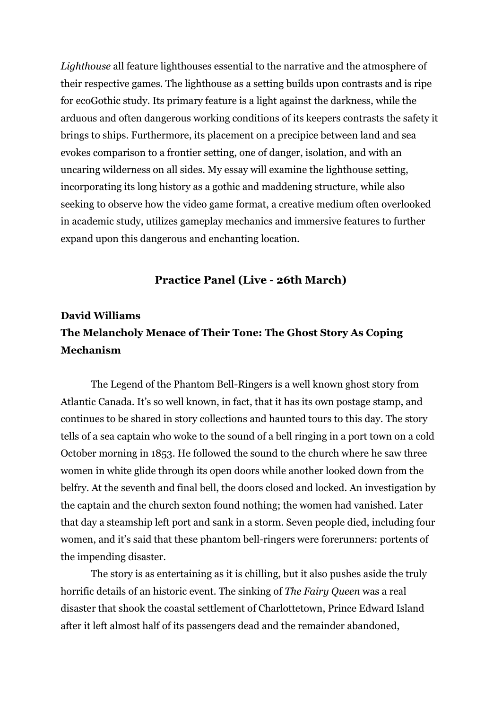*Lighthouse* all feature lighthouses essential to the narrative and the atmosphere of their respective games. The lighthouse as a setting builds upon contrasts and is ripe for ecoGothic study. Its primary feature is a light against the darkness, while the arduous and often dangerous working conditions of its keepers contrasts the safety it brings to ships. Furthermore, its placement on a precipice between land and sea evokes comparison to a frontier setting, one of danger, isolation, and with an uncaring wilderness on all sides. My essay will examine the lighthouse setting, incorporating its long history as a gothic and maddening structure, while also seeking to observe how the video game format, a creative medium often overlooked in academic study, utilizes gameplay mechanics and immersive features to further expand upon this dangerous and enchanting location.

#### **Practice Panel (Live - 26th March)**

# **David Williams The Melancholy Menace of Their Tone: The Ghost Story As Coping Mechanism**

The Legend of the Phantom Bell-Ringers is a well known ghost story from Atlantic Canada. It's so well known, in fact, that it has its own postage stamp, and continues to be shared in story collections and haunted tours to this day. The story tells of a sea captain who woke to the sound of a bell ringing in a port town on a cold October morning in 1853. He followed the sound to the church where he saw three women in white glide through its open doors while another looked down from the belfry. At the seventh and final bell, the doors closed and locked. An investigation by the captain and the church sexton found nothing; the women had vanished. Later that day a steamship left port and sank in a storm. Seven people died, including four women, and it's said that these phantom bell-ringers were forerunners: portents of the impending disaster.

The story is as entertaining as it is chilling, but it also pushes aside the truly horrific details of an historic event. The sinking of *The Fairy Queen* was a real disaster that shook the coastal settlement of Charlottetown, Prince Edward Island after it left almost half of its passengers dead and the remainder abandoned,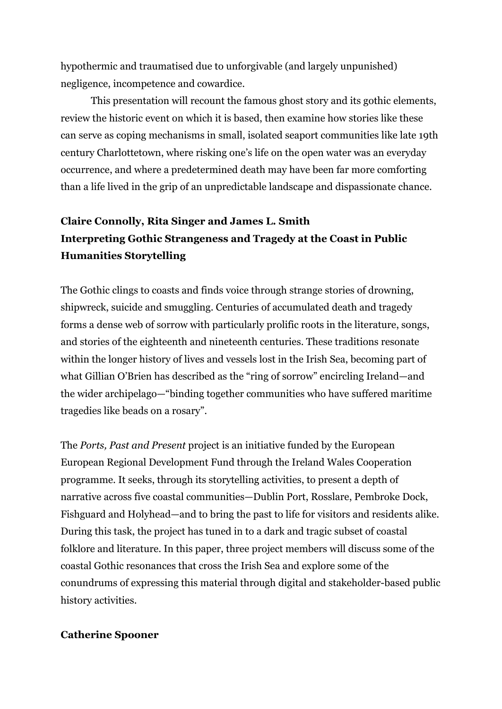hypothermic and traumatised due to unforgivable (and largely unpunished) negligence, incompetence and cowardice.

This presentation will recount the famous ghost story and its gothic elements, review the historic event on which it is based, then examine how stories like these can serve as coping mechanisms in small, isolated seaport communities like late 19th century Charlottetown, where risking one's life on the open water was an everyday occurrence, and where a predetermined death may have been far more comforting than a life lived in the grip of an unpredictable landscape and dispassionate chance.

# **Claire Connolly, Rita Singer and James L. Smith Interpreting Gothic Strangeness and Tragedy at the Coast in Public Humanities Storytelling**

The Gothic clings to coasts and finds voice through strange stories of drowning, shipwreck, suicide and smuggling. Centuries of accumulated death and tragedy forms a dense web of sorrow with particularly prolific roots in the literature, songs, and stories of the eighteenth and nineteenth centuries. These traditions resonate within the longer history of lives and vessels lost in the Irish Sea, becoming part of what Gillian O'Brien has described as the "ring of sorrow" encircling Ireland—and the wider archipelago—"binding together communities who have suffered maritime tragedies like beads on a rosary".

The *Ports, Past and Present* project is an initiative funded by the European European Regional Development Fund through the Ireland Wales Cooperation programme. It seeks, through its storytelling activities, to present a depth of narrative across five coastal communities—Dublin Port, Rosslare, Pembroke Dock, Fishguard and Holyhead—and to bring the past to life for visitors and residents alike. During this task, the project has tuned in to a dark and tragic subset of coastal folklore and literature. In this paper, three project members will discuss some of the coastal Gothic resonances that cross the Irish Sea and explore some of the conundrums of expressing this material through digital and stakeholder-based public history activities.

#### **Catherine Spooner**